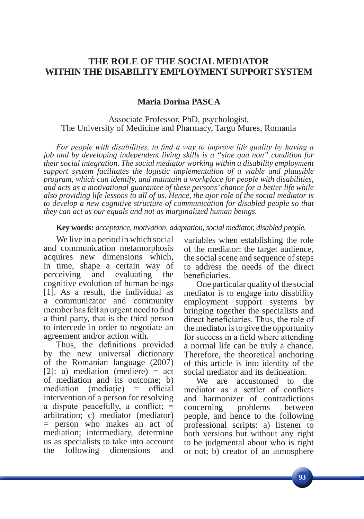# **THE ROLE OF THE SOCIAL MEDIATOR WITHIN THE DISABILITY EMPLOYMENT SUPPORT SYSTEM**

## **Maria Dorina PASCA**

### Associate Professor, PhD, psychologist, The University of Medicine and Pharmacy, Targu Mures, Romania

*For people with disabilities, to find a way to improve life quality by having a job and by developing independent living skills is a "sine qua non" condition for their social integration. The social mediator working within a disability employment support system facilitates the logistic implementation of a viable and plausible program, which can identify, and maintain a workplace for people with disabilities, and acts as a motivational guarantee of these persons' chance for a better life while also providing life lessons to all of us. Hence, the ajor role of the social mediator is to develop a new cognitive structure of communication for disabled people so that they can act as our equals and not as marginalized human beings.*

#### **Key words:** *acceptance, motivation, adaptation, social mediator, disabled people.*

We live in a period in which social and communication metamorphosis acquires new dimensions which, in time, shape a certain way of perceiving and evaluating the cognitive evolution of human beings [1]. As a result, the individual as a communicator and community member has felt an urgent need to find a third party, that is the third person to intercede in order to negotiate an agreement and/or action with.

Thus, the definitions provided by the new universal dictionary of the Romanian language (2007) [2]: a) mediation (mediere)  $=$  act of mediation and its outcome; b)  $median \text{ (mediate)} = official$ intervention of a person for resolving a dispute peacefully, a conflict; = arbitration; c) mediator (mediator) = person who makes an act of mediation; intermediary, determine us as specialists to take into account the following dimensions and

variables when establishing the role of the mediator: the target audience, the social scene and sequence of steps to address the needs of the direct beneficiaries.

One particular quality of the social mediator is to engage into disability employment support systems by bringing together the specialists and direct beneficiaries. Thus, the role of the mediator is to give the opportunity for success in a field where attending a normal life can be truly a chance. Therefore, the theoretical anchoring of this article is into identity of the social mediator and its delineation.

We are accustomed to the mediator as a settler of conflicts and harmonizer of contradictions concerning problems between people, and hence to the following professional scripts: a) listener to both versions but without any right to be judgmental about who is right or not; b) creator of an atmosphere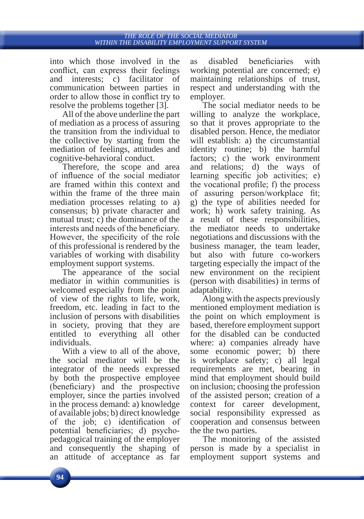into which those involved in the conflict, can express their feelings and interests; c) facilitator of communication between parties in order to allow those in conflict try to resolve the problems together [3].

All of the above underline the part of mediation as a process of assuring the transition from the individual to the collective by starting from the mediation of feelings, attitudes and cognitive-behavioral conduct.

Therefore, the scope and area of influence of the social mediator are framed within this context and within the frame of the three main mediation processes relating to a) consensus; b) private character and mutual trust; c) the dominance of the interests and needs of the beneficiary. However, the specificity of the role of this professional is rendered by the variables of working with disability employment support systems.

The appearance of the social mediator in within communities is welcomed especially from the point of view of the rights to life, work, freedom, etc. leading in fact to the inclusion of persons with disabilities in society, proving that they are entitled to everything all other individuals.

With a view to all of the above, the social mediator will be the integrator of the needs expressed by both the prospective employee (beneficiary) and the prospective employer, since the parties involved in the process demand: a) knowledge of available jobs; b) direct knowledge of the job; c) identification of potential beneficiaries; d) psychopedagogical training of the employer and consequently the shaping of an attitude of acceptance as far

as disabled beneficiaries with working potential are concerned; e) maintaining relationships of trust, respect and understanding with the employer.

The social mediator needs to be willing to analyze the workplace, so that it proves appropriate to the disabled person. Hence, the mediator will establish: a) the circumstantial identity routine; b) the harmful factors; c) the work environment and relations; d) the ways of learning specific job activities; e) the vocational profile; f) the process of assuring person/workplace fit; g) the type of abilities needed for work; h) work safety training. As a result of these responsibilities, the mediator needs to undertake negotiations and discussions with the business manager, the team leader, but also with future co-workers targeting especially the impact of the new environment on the recipient (person with disabilities) in terms of adaptability.

Along with the aspects previously mentioned employment mediation is the point on which employment is based, therefore employment support for the disabled can be conducted where: a) companies already have some economic power; b) there is workplace safety; c) all legal requirements are met, bearing in mind that employment should build on inclusion; choosing the profession of the assisted person; creation of a context for career development, social responsibility expressed as cooperation and consensus between the the two parties.

The monitoring of the assisted person is made by a specialist in employment support systems and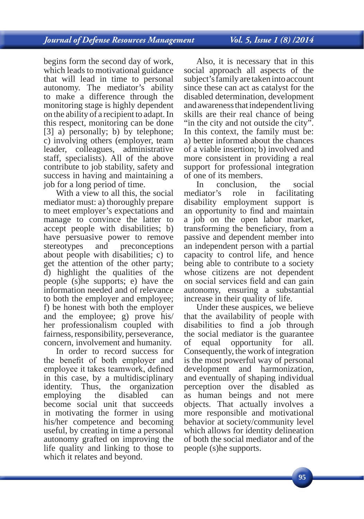begins form the second day of work, which leads to motivational guidance that will lead in time to personal autonomy. The mediator's ability to make a difference through the monitoring stage is highly dependent on the ability of a recipient to adapt. In this respect, monitoring can be done [3] a) personally; b) by telephone; c) involving others (employer, team leader, colleagues, administrative staff, specialists). All of the above contribute to job stability, safety and success in having and maintaining a job for a long period of time.

With a view to all this, the social mediator must: a) thoroughly prepare to meet employer's expectations and manage to convince the latter to accept people with disabilities; b) have persuasive power to remove<br>stereotypes and preconceptions stereotypes and preconceptions about people with disabilities; c) to get the attention of the other party; d) highlight the qualities of the people (s)he supports; e) have the information needed and of relevance to both the employer and employee; f) be honest with both the employer and the employee; g) prove his/ her professionalism coupled with fairness, responsibility, perseverance, concern, involvement and humanity.

In order to record success for the benefit of both employer and employee it takes teamwork, defined in this case, by a multidisciplinary identity. Thus, the organization employing the disabled can become social unit that succeeds in motivating the former in using his/her competence and becoming useful, by creating in time a personal autonomy grafted on improving the life quality and linking to those to which it relates and beyond.

Also, it is necessary that in this social approach all aspects of the subject's family are taken into account since these can act as catalyst for the disabled determination, development and awareness that independent living skills are their real chance of being "in the city and not outside the city". In this context, the family must be: a) better informed about the chances of a viable insertion; b) involved and more consistent in providing a real support for professional integration of one of its members.<br>In conclusion.

In conclusion, the social<br>mediator's role in facilitating role in facilitating disability employment support is an opportunity to find and maintain a job on the open labor market, transforming the beneficiary, from a passive and dependent member into an independent person with a partial capacity to control life, and hence being able to contribute to a society whose citizens are not dependent on social services field and can gain autonomy, ensuring a substantial increase in their quality of life.

Under these auspices, we believe that the availability of people with disabilities to find a job through the social mediator is the guarantee of equal opportunity for all. Consequently, the work of integration is the most powerful way of personal development and harmonization, and eventually of shaping individual perception over the disabled as as human beings and not mere objects. That actually involves a more responsible and motivational behavior at society/community level which allows for identity delineation of both the social mediator and of the people (s)he supports.